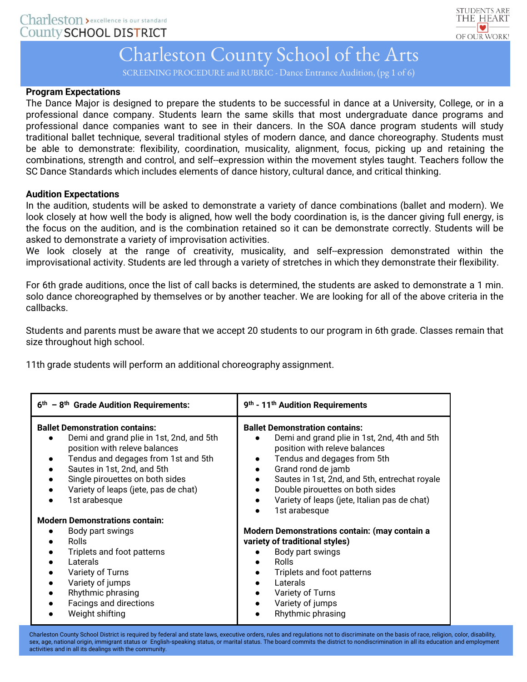

SCREENING PROCEDURE and RUBRIC - Dance Entrance Audition, (pg 1 of 6)

### **Program Expectations**

The Dance Major is designed to prepare the students to be successful in dance at a University, College, or in a professional dance company. Students learn the same skills that most undergraduate dance programs and professional dance companies want to see in their dancers. In the SOA dance program students will study traditional ballet technique, several traditional styles of modern dance, and dance choreography. Students must be able to demonstrate: flexibility, coordination, musicality, alignment, focus, picking up and retaining the combinations, strength and control, and self-‐expression within the movement styles taught. Teachers follow the SC Dance Standards which includes elements of dance history, cultural dance, and critical thinking.

### **Audition Expectations**

In the audition, students will be asked to demonstrate a variety of dance combinations (ballet and modern). We look closely at how well the body is aligned, how well the body coordination is, is the dancer giving full energy, is the focus on the audition, and is the combination retained so it can be demonstrate correctly. Students will be asked to demonstrate a variety of improvisation activities.

We look closely at the range of creativity, musicality, and self--expression demonstrated within the improvisational activity. Students are led through a variety of stretches in which they demonstrate their flexibility.

For 6th grade auditions, once the list of call backs is determined, the students are asked to demonstrate a 1 min. solo dance choreographed by themselves or by another teacher. We are looking for all of the above criteria in the callbacks.

Students and parents must be aware that we accept 20 students to our program in 6th grade. Classes remain that size throughout high school.

11th grade students will perform an additional choreography assignment.

| $6th - 8th$ Grade Audition Requirements:                                                                                                                                                                                                                                             | 9 <sup>th</sup> - 11 <sup>th</sup> Audition Requirements                                                                                                                                                                                                                                                                         |
|--------------------------------------------------------------------------------------------------------------------------------------------------------------------------------------------------------------------------------------------------------------------------------------|----------------------------------------------------------------------------------------------------------------------------------------------------------------------------------------------------------------------------------------------------------------------------------------------------------------------------------|
| <b>Ballet Demonstration contains:</b><br>Demi and grand plie in 1st, 2nd, and 5th<br>position with releve balances<br>Tendus and degages from 1st and 5th<br>Sautes in 1st, 2nd, and 5th<br>Single pirouettes on both sides<br>Variety of leaps (jete, pas de chat)<br>1st arabesque | <b>Ballet Demonstration contains:</b><br>Demi and grand plie in 1st, 2nd, 4th and 5th<br>position with releve balances<br>Tendus and degages from 5th<br>Grand rond de jamb<br>Sautes in 1st, 2nd, and 5th, entrechat royale<br>Double pirouettes on both sides<br>Variety of leaps (jete, Italian pas de chat)<br>1st arabesque |
| <b>Modern Demonstrations contain:</b>                                                                                                                                                                                                                                                |                                                                                                                                                                                                                                                                                                                                  |
| Body part swings<br><b>Rolls</b><br>Triplets and foot patterns<br>Laterals<br>$\bullet$<br>Variety of Turns<br>Variety of jumps<br>$\bullet$<br>Rhythmic phrasing<br>$\bullet$<br>Facings and directions<br>Weight shifting                                                          | Modern Demonstrations contain: (may contain a<br>variety of traditional styles)<br>Body part swings<br><b>Rolls</b><br>Triplets and foot patterns<br>Laterals<br>Variety of Turns<br>Variety of jumps<br>Rhythmic phrasing                                                                                                       |

Charleston County School District is required by federal and state laws, executive orders, rules and regulations not to discriminate on the basis of race, religion, color, disability, sex, age, national origin, immigrant status or English-speaking status, or marital status. The board commits the district to nondiscrimination in all its education and employment activities and in all its dealings with the community.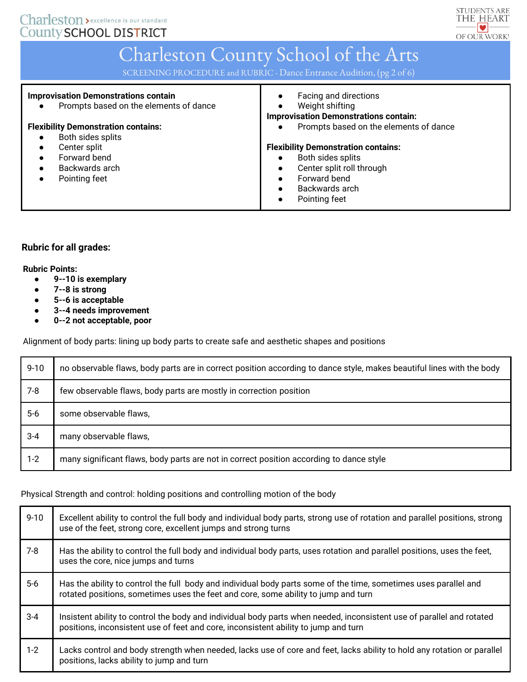

SCREENING PROCEDURE and RUBRIC - Dance Entrance Audition, (pg 2 of 6)

| <b>Improvisation Demonstrations contain</b><br>Prompts based on the elements of dance | Facing and directions<br>$\bullet$<br>Weight shifting<br>$\bullet$<br><b>Improvisation Demonstrations contain:</b> |
|---------------------------------------------------------------------------------------|--------------------------------------------------------------------------------------------------------------------|
| <b>Flexibility Demonstration contains:</b>                                            | Prompts based on the elements of dance                                                                             |
| Both sides splits                                                                     |                                                                                                                    |
| Center split                                                                          | <b>Flexibility Demonstration contains:</b>                                                                         |
| Forward bend                                                                          | Both sides splits                                                                                                  |
| Backwards arch                                                                        | Center split roll through<br>$\bullet$                                                                             |
| Pointing feet                                                                         | Forward bend<br>$\bullet$                                                                                          |
|                                                                                       | Backwards arch<br>$\bullet$                                                                                        |
|                                                                                       | Pointing feet<br>$\bullet$                                                                                         |

## **Rubric for all grades:**

#### **Rubric Points:**

- **9-‐10 is exemplary**
- **7-‐8 is strong**
- **5-‐6 is acceptable**
- **3-‐4 needs improvement**
- **0-‐2 not acceptable, poor**

Alignment of body parts: lining up body parts to create safe and aesthetic shapes and positions

| $9 - 10$ | no observable flaws, body parts are in correct position according to dance style, makes beautiful lines with the body |
|----------|-----------------------------------------------------------------------------------------------------------------------|
| $7-8$    | few observable flaws, body parts are mostly in correction position                                                    |
| $5-6$    | some observable flaws,                                                                                                |
| $3 - 4$  | many observable flaws,                                                                                                |
| $1 - 2$  | many significant flaws, body parts are not in correct position according to dance style                               |

Physical Strength and control: holding positions and controlling motion of the body

| $9 - 10$ | Excellent ability to control the full body and individual body parts, strong use of rotation and parallel positions, strong<br>use of the feet, strong core, excellent jumps and strong turns                |
|----------|--------------------------------------------------------------------------------------------------------------------------------------------------------------------------------------------------------------|
| $7 - 8$  | Has the ability to control the full body and individual body parts, uses rotation and parallel positions, uses the feet,<br>uses the core, nice jumps and turns                                              |
| $5-6$    | Has the ability to control the full body and individual body parts some of the time, sometimes uses parallel and<br>rotated positions, sometimes uses the feet and core, some ability to jump and turn       |
| $3 - 4$  | Insistent ability to control the body and individual body parts when needed, inconsistent use of parallel and rotated<br>positions, inconsistent use of feet and core, inconsistent ability to jump and turn |
| $1 - 2$  | Lacks control and body strength when needed, lacks use of core and feet, lacks ability to hold any rotation or parallel<br>positions, lacks ability to jump and turn                                         |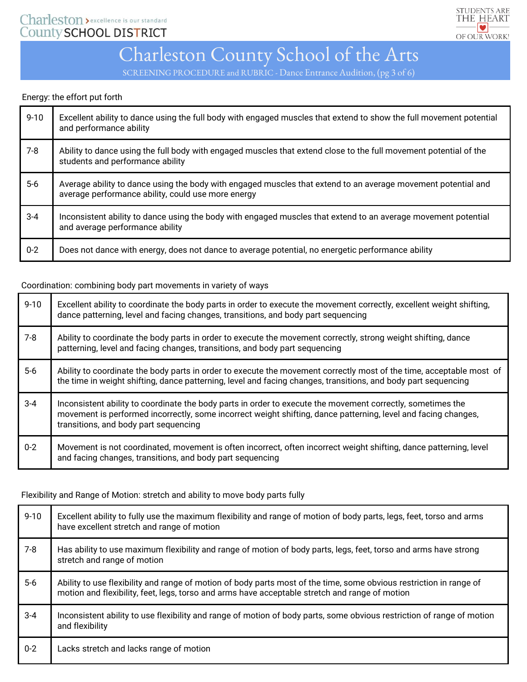

SCREENING PROCEDURE and RUBRIC - Dance Entrance Audition, (pg 3 of 6)

### Energy: the effort put forth

| $9 - 10$ | Excellent ability to dance using the full body with engaged muscles that extend to show the full movement potential<br>and performance ability                      |
|----------|---------------------------------------------------------------------------------------------------------------------------------------------------------------------|
| $7-8$    | Ability to dance using the full body with engaged muscles that extend close to the full movement potential of the<br>students and performance ability               |
| $5-6$    | Average ability to dance using the body with engaged muscles that extend to an average movement potential and<br>average performance ability, could use more energy |
| $3 - 4$  | Inconsistent ability to dance using the body with engaged muscles that extend to an average movement potential<br>and average performance ability                   |
| $0-2$    | Does not dance with energy, does not dance to average potential, no energetic performance ability                                                                   |

### Coordination: combining body part movements in variety of ways

| $9 - 10$ | Excellent ability to coordinate the body parts in order to execute the movement correctly, excellent weight shifting,<br>dance patterning, level and facing changes, transitions, and body part sequencing                                                             |
|----------|------------------------------------------------------------------------------------------------------------------------------------------------------------------------------------------------------------------------------------------------------------------------|
| $7 - 8$  | Ability to coordinate the body parts in order to execute the movement correctly, strong weight shifting, dance<br>patterning, level and facing changes, transitions, and body part sequencing                                                                          |
| $5-6$    | Ability to coordinate the body parts in order to execute the movement correctly most of the time, acceptable most of<br>the time in weight shifting, dance patterning, level and facing changes, transitions, and body part sequencing                                 |
| $3 - 4$  | Inconsistent ability to coordinate the body parts in order to execute the movement correctly, sometimes the<br>movement is performed incorrectly, some incorrect weight shifting, dance patterning, level and facing changes,<br>transitions, and body part sequencing |
| $0 - 2$  | Movement is not coordinated, movement is often incorrect, often incorrect weight shifting, dance patterning, level<br>and facing changes, transitions, and body part sequencing                                                                                        |

Flexibility and Range of Motion: stretch and ability to move body parts fully

| $9 - 10$ | Excellent ability to fully use the maximum flexibility and range of motion of body parts, legs, feet, torso and arms<br>have excellent stretch and range of motion                                                    |
|----------|-----------------------------------------------------------------------------------------------------------------------------------------------------------------------------------------------------------------------|
| $7 - 8$  | Has ability to use maximum flexibility and range of motion of body parts, legs, feet, torso and arms have strong<br>stretch and range of motion                                                                       |
| $5-6$    | Ability to use flexibility and range of motion of body parts most of the time, some obvious restriction in range of<br>motion and flexibility, feet, legs, torso and arms have acceptable stretch and range of motion |
| $3 - 4$  | Inconsistent ability to use flexibility and range of motion of body parts, some obvious restriction of range of motion<br>and flexibility                                                                             |
| $0 - 2$  | Lacks stretch and lacks range of motion                                                                                                                                                                               |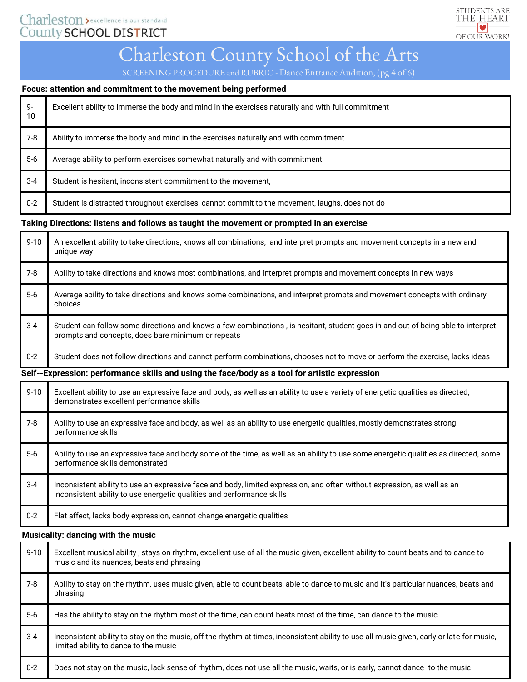# Charleston > excellence is our standard County SCHOOL DISTRICT



# Charleston County School of the Arts

SCREENING PROCEDURE and RUBRIC - Dance Entrance Audition, (pg 4 of 6)

#### **Focus: attention and commitment to the movement being performed**

| 9-<br>10 | Excellent ability to immerse the body and mind in the exercises naturally and with full commitment |
|----------|----------------------------------------------------------------------------------------------------|
| $7 - 8$  | Ability to immerse the body and mind in the exercises naturally and with commitment                |
| $5-6$    | Average ability to perform exercises somewhat naturally and with commitment                        |
| $3 - 4$  | Student is hesitant, inconsistent commitment to the movement.                                      |
| $0 - 2$  | Student is distracted throughout exercises, cannot commit to the movement, laughs, does not do     |

#### **Taking Directions: listens and follows as taught the movement or prompted in an exercise**

| $9 - 10$ | An excellent ability to take directions, knows all combinations, and interpret prompts and movement concepts in a new and<br>unique way                                                |
|----------|----------------------------------------------------------------------------------------------------------------------------------------------------------------------------------------|
| $7-8$    | Ability to take directions and knows most combinations, and interpret prompts and movement concepts in new ways                                                                        |
| $5-6$    | Average ability to take directions and knows some combinations, and interpret prompts and movement concepts with ordinary<br>choices                                                   |
| $3 - 4$  | Student can follow some directions and knows a few combinations, is hesitant, student goes in and out of being able to interpret<br>prompts and concepts, does bare minimum or repeats |
| $0 - 2$  | Student does not follow directions and cannot perform combinations, chooses not to move or perform the exercise, lacks ideas                                                           |
|          | Oalf Franceston nach meiser ställe and retunder from the decay of the demonstrate commentation                                                                                         |

**Self-‐Expression: performance skills and using the face/body as a tool for artistic expression** 

| $9 - 10$ | Excellent ability to use an expressive face and body, as well as an ability to use a variety of energetic qualities as directed,<br>demonstrates excellent performance skills                      |
|----------|----------------------------------------------------------------------------------------------------------------------------------------------------------------------------------------------------|
| $7 - 8$  | Ability to use an expressive face and body, as well as an ability to use energetic qualities, mostly demonstrates strong<br>performance skills                                                     |
| $5-6$    | Ability to use an expressive face and body some of the time, as well as an ability to use some energetic qualities as directed, some<br>performance skills demonstrated                            |
| $3-4$    | Inconsistent ability to use an expressive face and body, limited expression, and often without expression, as well as an<br>inconsistent ability to use energetic qualities and performance skills |
| $0 - 2$  | Flat affect, lacks body expression, cannot change energetic qualities                                                                                                                              |

### **Musicality: dancing with the music**

| $9 - 10$ | Excellent musical ability, stays on rhythm, excellent use of all the music given, excellent ability to count beats and to dance to<br>music and its nuances, beats and phrasing    |
|----------|------------------------------------------------------------------------------------------------------------------------------------------------------------------------------------|
| $7 - 8$  | Ability to stay on the rhythm, uses music given, able to count beats, able to dance to music and it's particular nuances, beats and<br>phrasing                                    |
| $5-6$    | Has the ability to stay on the rhythm most of the time, can count beats most of the time, can dance to the music                                                                   |
| $3 - 4$  | Inconsistent ability to stay on the music, off the rhythm at times, inconsistent ability to use all music given, early or late for music,<br>limited ability to dance to the music |
| $0 - 2$  | Does not stay on the music, lack sense of rhythm, does not use all the music, waits, or is early, cannot dance to the music                                                        |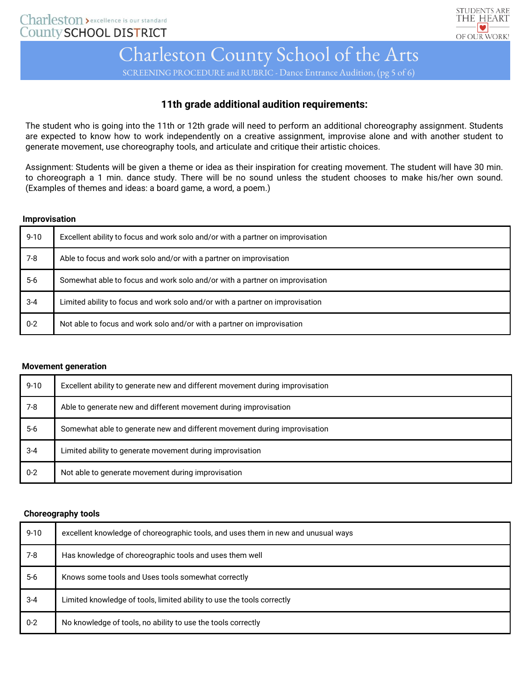

SCREENING PROCEDURE and RUBRIC - Dance Entrance Audition, (pg 5 of 6)

## **11th grade additional audition requirements:**

The student who is going into the 11th or 12th grade will need to perform an additional choreography assignment. Students are expected to know how to work independently on a creative assignment, improvise alone and with another student to generate movement, use choreography tools, and articulate and critique their artistic choices.

Assignment: Students will be given a theme or idea as their inspiration for creating movement. The student will have 30 min. to choreograph a 1 min. dance study. There will be no sound unless the student chooses to make his/her own sound. (Examples of themes and ideas: a board game, a word, a poem.)

#### **Improvisation**

| $9 - 10$ | Excellent ability to focus and work solo and/or with a partner on improvisation |
|----------|---------------------------------------------------------------------------------|
| 7-8      | Able to focus and work solo and/or with a partner on improvisation              |
| $5-6$    | Somewhat able to focus and work solo and/or with a partner on improvisation     |
| $3 - 4$  | Limited ability to focus and work solo and/or with a partner on improvisation   |
| $0 - 2$  | Not able to focus and work solo and/or with a partner on improvisation          |

#### **Movement generation**

| $9 - 10$ | Excellent ability to generate new and different movement during improvisation |
|----------|-------------------------------------------------------------------------------|
| 7-8      | Able to generate new and different movement during improvisation              |
| $5-6$    | Somewhat able to generate new and different movement during improvisation     |
| $3 - 4$  | Limited ability to generate movement during improvisation                     |
| $0 - 2$  | Not able to generate movement during improvisation                            |

#### **Choreography tools**

| $9 - 10$ | excellent knowledge of choreographic tools, and uses them in new and unusual ways |
|----------|-----------------------------------------------------------------------------------|
| $7-8$    | Has knowledge of choreographic tools and uses them well                           |
| $5-6$    | Knows some tools and Uses tools somewhat correctly                                |
| $3 - 4$  | Limited knowledge of tools, limited ability to use the tools correctly            |
| $0-2$    | No knowledge of tools, no ability to use the tools correctly                      |